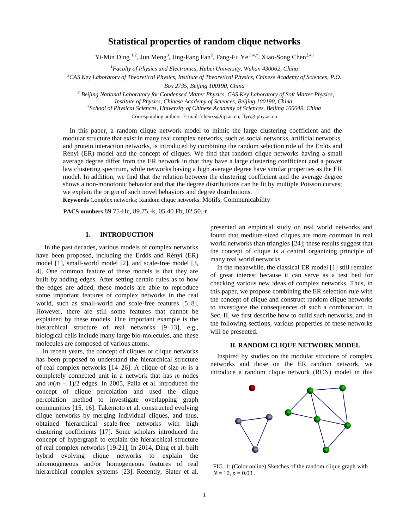# **Statistical properties of random clique networks**

Yi-Min Ding <sup>1,2</sup>, Jun Meng<sup>3</sup>, Jing-Fang Fan<sup>2</sup>, Fang-Fu Ye<sup>3,4,\*</sup>, Xiao-Song Chen<sup>2,4,‡</sup>

*<sup>1</sup>Faculty of Physics and Electronics, Hubei University, Wuhan 430062, China*

<sup>2</sup>*CAS Key Laboratory of Theoretical Physics, Institute of Theoretical Physics, Chinese Academy of Sciences, P.O.* 

*Box 2735, Beijing 100190, China*

*<sup>3</sup> Beijing National Laboratory for Condensed Matter Physics, CAS Key Laboratory of Soft Matter Physics,* 

*4 School of Physical Sciences, University of Chinese Academy of Sciences, Beijing 100049, China*

Corresponding authors. E-mail: thenxs@itp.ac.cn, \*fye@iphy.ac.cn

 In this paper, a random clique network model to mimic the large clustering coefficient and the modular structure that exist in many real complex networks, such as social networks, artificial networks, and protein interaction networks, is introduced by combining the random selection rule of the Erdös and Rényi (ER) model and the concept of cliques. We find that random clique networks having a small average degree differ from the ER network in that they have a large clustering coefficient and a power law clustering spectrum, while networks having a high average degree have similar properties as the ER model. In addition, we find that the relation between the clustering coefficient and the average degree shows a non-monotonic behavior and that the degree distributions can be fit by multiple Poisson curves; we explain the origin of such novel behaviors and degree distributions.

**Keywords** Complex networks; Random clique networks; Motifs; Communicability

**PACS numbers** 89.75-Hc, 89.75.-k, 05.40.Fb, 02.50.-r

## **I. INTRODUCTION**

 In the past decades, various models of complex networks have been proposed, including the Erdös and Rényi (ER) model [1], small-world model [2], and scale-free model [3, 4]. One common feature of these models is that they are built by adding edges. After setting certain rules as to how the edges are added, these models are able to reproduce some important features of complex networks in the real world, such as small-world and scale-free features [5–8]. However, there are still some features that cannot be explained by these models. One important example is the hierarchical structure of real networks [9–13], e.g., biological cells include many large bio-molecules, and these molecules are composed of various atoms.

In recent years, the concept of cliques or clique networks has been proposed to understand the hierarchical structure of real complex networks [14–26]. A clique of size *m* is a completely connected unit in a network that has *m* nodes and  $m(m - 1)/2$  edges. In 2005, Palla et al. introduced the concept of clique percolation and used the clique percolation method to investigate overlapping graph communities [15, 16]. Takemoto et al. constructed evolving clique networks by merging individual cliques, and thus, obtained hierarchical scale-free networks with high clustering coefficients [17]. Some scholars introduced the concept of hypergraph to explain the hierarchical structure of real complex networks [19-21], In 2014, Ding et al. built hybrid evolving clique networks to explain the inhomogeneous and/or homogeneous features of real hierarchical complex systems [23]. Recently, Slater et al.

presented an empirical study on real world networks and found that medium-sized cliques are more common in real world networks than triangles [24]; these results suggest that the concept of clique is a central organizing principle of many real world networks.

In the meanwhile, the classical ER model [1] still remains of great interest because it can serve as a test bed for checking various new ideas of complex networks. Thus, in this paper, we propose combining the ER selection rule with the concept of clique and construct random clique networks to investigate the consequences of such a combination. In Sec. II, we first describe how to build such networks, and in the following sections, various properties of these networks will be presented.

## **II. RANDOM CLIQUE NETWORK MODEL**

Inspired by studies on the modular structure of complex networks and those on the ER random network, we introduce a random clique network (RCN) model in this



FIG. 1: (Color online) Sketches of the random clique graph with  $N = 10, p = 0.03$ .

*Institute of Physics, Chinese Academy of Sciences, Beijing 100190, China,*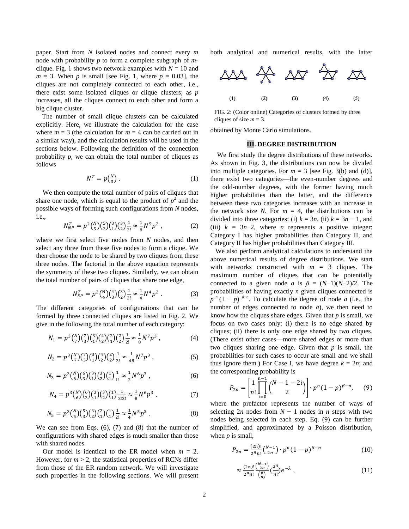paper. Start from *N* isolated nodes and connect every *m* node with probability *p* to form a complete subgraph of *m*clique. Fig. 1 shows two network examples with  $N = 10$  and  $m = 3$ . When *p* is small [see Fig. 1, where  $p = 0.03$ ], the cliques are not completely connected to each other, i.e., there exist some isolated cliques or clique clusters; as *p* increases, all the cliques connect to each other and form a big clique cluster.

The number of small clique clusters can be calculated explicitly. Here, we illustrate the calculation for the case where  $m = 3$  (the calculation for  $m = 4$  can be carried out in a similar way), and the calculation results will be used in the sections below. Following the definition of the connection probability *p*, we can obtain the total number of cliques as follows

$$
N^T = p\binom{N}{3} \,. \tag{1}
$$

We then compute the total number of pairs of cliques that share one node, which is equal to the product of  $p^2$  and the possible ways of forming such configurations from *N* nodes, i.e.,

$$
N_{NP}^T = p^2 {N \choose 5} {5 \choose 3} {3 \choose 1} {3 \choose 2} \frac{1}{2!} \approx \frac{1}{8} N^5 p^2 , \qquad (2)
$$

where we first select five nodes from *N* nodes, and then select any three from these five nodes to form a clique. We then choose the node to be shared by two cliques from these three nodes. The factorial in the above equation represents the symmetry of these two cliques. Similarly, we can obtain the total number of pairs of cliques that share one edge,

$$
N_{EP}^T = p^2 {N \choose 4} {4 \choose 3} {3 \choose 2} \frac{1}{2!} \approx \frac{1}{4} N^4 p^2 \ . \tag{3}
$$

The different categories of configurations that can be formed by three connected cliques are listed in Fig. 2. We give in the following the total number of each category:

$$
N_1 = p^3 {N \choose 7} {7 \choose 3} {4 \choose 1} {4 \choose 2} {2 \choose 1} {1 \choose 2} \frac{1}{2!} \approx \frac{1}{8} N^7 p^3 , \qquad (4)
$$

$$
N_2 = p^3 {N \choose 7} {7 \choose 3} {4 \choose 1} {2 \choose 2} \frac{1}{3!} \approx \frac{1}{48} N^7 p^3 , \qquad (5)
$$

$$
N_3 = p^3 {N \choose 6} {6 \choose 3} {3 \choose 1} {1 \choose 2} \frac{1}{1!} \approx \frac{1}{2} N^6 p^3 , \qquad (6)
$$

$$
N_4 = p^3 {N \choose 6} {6 \choose 3} {3 \choose 1} {3 \choose 2} {1 \choose 1} \frac{1}{2!2!} \approx \frac{1}{8} N^6 p^3 , \qquad (7)
$$

$$
N_5 = p^3 {N \choose 5} {5 \choose 3} {2 \choose 3} {1 \choose 1} \frac{1}{2!} \approx \frac{1}{4} N^5 p^3 . \tag{8}
$$

We can see from Eqs. (6), (7) and (8) that the number of configurations with shared edges is much smaller than those with shared nodes.

Our model is identical to the ER model when  $m = 2$ . However, for  $m > 2$ , the statistical properties of RCNs differ from those of the ER random network. We will investigate such properties in the following sections. We will present both analytical and numerical results, with the latter



FIG. 2: (Color online) Categories of clusters formed by three cliques of size  $m = 3$ .

obtained by Monte Carlo simulations.

#### **III. DEGREE DISTRIBUTION**

We first study the degree distributions of these networks. As shown in Fig. 3, the distributions can now be divided into multiple categories. For  $m = 3$  [see Fig. 3(b) and (d)], there exist two categories—the even-number degrees and the odd-number degrees, with the former having much higher probabilities than the latter, and the difference between these two categories increases with an increase in the network size *N*. For  $m = 4$ , the distributions can be divided into three categories: (i)  $k = 3n$ , (ii)  $k = 3n - 1$ , and (iii)  $k = 3n-2$ , where *n* represents a positive integer; Category I has higher probabilities than Category II, and Category II has higher probabilities than Category III.

 We also perform analytical calculations to understand the above numerical results of degree distributions. We start with networks constructed with  $m = 3$  cliques. The maximum number of cliques that can be potentially connected to a given node *a* is  $\beta = (N-1)(N-2)/2$ . The probabilities of having exactly *n* given cliques connected is  $p^{n}(1-p)^{\beta-n}$ . To calculate the degree of node *a* (i.e., the number of edges connected to node *a*), we then need to know how the cliques share edges. Given that *p* is small, we focus on two cases only: (i) there is no edge shared by cliques; (ii) there is only one edge shared by two cliques. (There exist other cases—more shared edges or more than two cliques sharing one edge. Given that *p* is small, the probabilities for such cases to occur are small and we shall thus ignore them.) For Case I, we have degree  $k = 2n$ ; and the corresponding probability is

$$
P_{2n} = \left[\frac{1}{n!} \prod_{i=0}^{n-1} {N-1-2i \choose 2} \right] \cdot p^n (1-p)^{\beta-n}, \quad (9)
$$

where the prefactor represents the number of ways of selecting  $2n$  nodes from  $N - 1$  nodes in *n* steps with two nodes being selected in each step. Eq. (9) can be further simplified, and approximated by a Poisson distribution, when *p* is small,

$$
P_{2n} = \frac{(2n)!}{2^n n!} {N-1 \choose 2n} \cdot p^n (1-p)^{\beta-n}
$$
 (10)

$$
\approx \frac{(2n)!}{2^n n!} \frac{\binom{N-1}{2n}}{\binom{R}{n}} \binom{\lambda^n}{n!} e^{-\lambda} \tag{11}
$$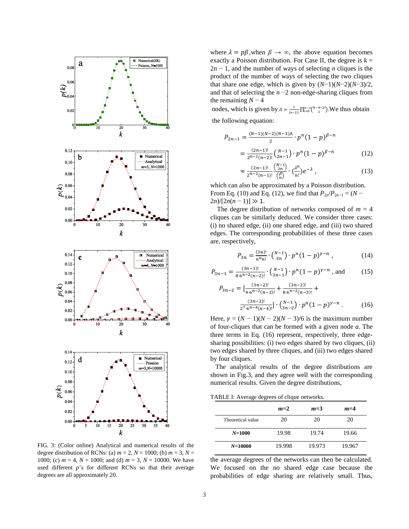

FIG. 3: (Color online) Analytical and numerical results of the degree distribution of RCNs: (a)  $m = 2$ ,  $N = 1000$ ; (b)  $m = 3$ ,  $N =$ 1000; (c)  $m = 4$ ,  $N = 1000$ ; and (d)  $m = 3$ ,  $N = 10000$ . We have used different *p*'s for different RCNs so that their average degrees are all approximately 20.

where  $\lambda = p\beta$ , when  $\beta \rightarrow \infty$ , the above equation becomes exactly a Poisson distribution. For Case II, the degree is  $k =$ 2*n* − 1, and the number of ways of selecting *n* cliques is the product of the number of ways of selecting the two cliques that share one edge, which is given by  $(N-1)(N-2)(N-3)/2$ , and that of selecting the *n* −2 non-edge-sharing cliques from the remaining  $N - 4$ 

nodes, which is given by  $A = \frac{1}{a}$  $\frac{1}{(n-2)!} \prod_{i=0}^{n-3} {N-4-2i \choose 2}$ . We thus obtain the following equation:

$$
P_{2n-1} = \frac{(N-1)(N-2)(N-3)\Lambda}{2} \cdot p^{n} (1-p)^{\beta-n}
$$

$$
= \frac{(2n-1)!}{2^{n-1}(n-2)!} {N-1 \choose 2n-1} \cdot p^{n} (1-p)^{\beta-n}
$$
(12)

$$
\approx \frac{(2n-1)!}{2^{n-2}(n-1)!} \frac{\binom{N-1}{2n}}{\binom{R}{n}} \cdot \binom{\lambda^n}{n!} e^{-\lambda} \,,\tag{13}
$$

which can also be approximated by a Poisson distribution. From Eq. (10) and Eq. (12), we find that  $P_{2n}/P_{2n-1} = (N 2n$ / $[2n(n-1)] \gg 1$ .

The degree distribution of networks composed of  $m = 4$ cliques can be similarly deduced. We consider three cases: (i) no shared edge, (ii) one shared edge, and (iii) two shared edges. The corresponding probabilities of these three cases are, respectively,

$$
P_{3n} = \frac{(3n)!}{6^n n!} \cdot \binom{N-1}{3n} \cdot p^n (1-p)^{\gamma - n}, \tag{14}
$$

$$
P_{3n-1} = \frac{(3n-1)!}{8 \cdot 6^{n-2}(n-2)!} \cdot {N-1 \choose 3n-1} \cdot p^n (1-p)^{\gamma-n}
$$
, and (15)

$$
P_{3n-2} = \left[\frac{(3n-2)!}{4 \cdot 6^{n-2}(n-2)!} + \frac{(3n-2)!}{8 \cdot 6^{n-2}(n-3)!} + \frac{(3n-2)!}{2^7 \cdot 6^{n-4}(n-4)!}\right] \cdot {N-1 \choose 3n-2} \cdot p^n (1-p)^{y-n} . \tag{16}
$$

Here,  $\gamma = (N - 1)(N - 2)(N - 3)/6$  is the maximum number of four-cliques that can be formed with a given node *a*. The three terms in Eq. (16) represent, respectively, three edgesharing possibilities: (i) two edges shared by two cliques, (ii) two edges shared by three cliques, and (iii) two edges shared by four cliques.

 The analytical results of the degree distributions are shown in Fig.3, and they agree well with the corresponding numerical results. Given the degree distributions,

| TABLE I: Average degrees of clique networks. |
|----------------------------------------------|
|----------------------------------------------|

|                   | $m=2$  | $m=3$  | $m=4$  |
|-------------------|--------|--------|--------|
| Theoretical value | 20     | 20     | 20     |
| $N = 1000$        | 19.98  | 19.74  | 19.66  |
| $N = 10000$       | 19.998 | 19.973 | 19.967 |

the average degrees of the networks can then be calculated. We focused on the no shared edge case because the probabilities of edge sharing are relatively small. Thus,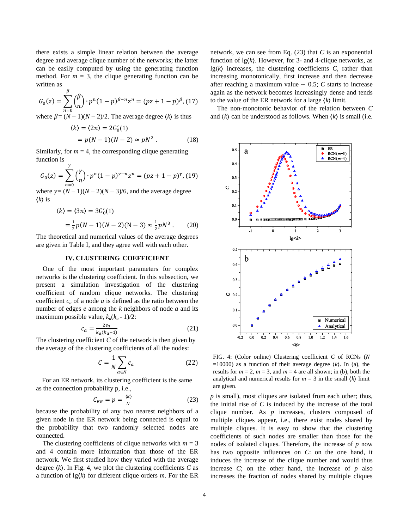there exists a simple linear relation between the average degree and average clique number of the networks; the latter can be easily computed by using the generating function method. For  $m = 3$ , the clique generating function can be written as

$$
G_0(z) = \sum_{n=0}^{\beta} { \beta \choose n} \cdot p^n (1-p)^{\beta - n} z^n = (pz + 1 - p)^{\beta}, (17)
$$

where  $\beta = (N - 1)(N - 2)/2$ . The average degree  $\langle k \rangle$  is thus

$$
\langle k \rangle = \langle 2n \rangle = 2G'_0(1) = p(N-1)(N-2) \approx pN^2.
$$
 (18)

Similarly, for  $m = 4$ , the corresponding clique generating function is

$$
G_0(z) = \sum_{n=0}^{Y} {Y \choose n} \cdot p^n (1-p)^{\gamma - n} z^n = (pz + 1 - p)^{\gamma}, (19)
$$

where  $\gamma = (N-1)(N-2)(N-3)/6$ , and the average degree  $\langle k \rangle$  is

$$
\langle k \rangle = \langle 3n \rangle = 3G'_0(1)
$$
  
=  $\frac{1}{2}p(N-1)(N-2)(N-3) \approx \frac{1}{2}pN^3$ . (20)

The theoretical and numerical values of the average degrees are given in Table I, and they agree well with each other.

#### **IV. CLUSTERING COEFFICIENT**

One of the most important parameters for complex networks is the clustering coefficient. In this subsection, we present a simulation investigation of the clustering coefficient of random clique networks. The clustering coefficient  $c_a$  of a node  $a$  is defined as the ratio between the number of edges *e* among the *k* neighbors of node *a* and its maximum possible value,  $k_a(k_a - 1)/2$ :

$$
c_a = \frac{2e_a}{k_a(k_a - 1)}\tag{21}
$$

The clustering coefficient *C* of the network is then given by the average of the clustering coefficients of all the nodes:

$$
C = \frac{1}{N} \sum_{a \in N} c_a \tag{22}
$$

For an ER network, its clustering coefficient is the same as the connection probability p, i.e.,

$$
C_{ER} = p = \frac{\langle k \rangle}{N} \tag{23}
$$

because the probability of any two nearest neighbors of a given node in the ER network being connected is equal to the probability that two randomly selected nodes are connected.

The clustering coefficients of clique networks with  $m = 3$ and 4 contain more information than those of the ER network. We first studied how they varied with the average degree  $\langle k \rangle$ . In Fig. 4, we plot the clustering coefficients *C* as a function of lg⟨*k*⟩ for different clique orders *m*. For the ER network, we can see from Eq. (23) that *C* is an exponential function of  $\lg(k)$ . However, for 3- and 4-clique networks, as lg⟨*k*⟩ increases, the clustering coefficients *C*, rather than increasing monotonically, first increase and then decrease after reaching a maximum value ∼ 0.5; *C* starts to increase again as the network becomes increasingly dense and tends to the value of the ER network for a large ⟨*k*⟩ limit.

The non-monotonic behavior of the relation between *C* and ⟨*k*⟩ can be understood as follows. When ⟨*k*⟩ is small (i.e.



FIG. 4: (Color online) Clustering coefficient *C* of RCNs (*N*  $=10000$ ) as a function of their average degree  $\langle k \rangle$ . In (a), the results for  $m = 2$ ,  $m = 3$ , and  $m = 4$  are all shown; in (b), both the analytical and numerical results for  $m = 3$  in the small  $\langle k \rangle$  limit are given.

*p* is small), most cliques are isolated from each other; thus, the initial rise of *C* is induced by the increase of the total clique number. As *p* increases, clusters composed of multiple cliques appear, i.e., there exist nodes shared by multiple cliques. It is easy to show that the clustering coefficients of such nodes are smaller than those for the nodes of isolated cliques. Therefore, the increase of *p* now has two opposite influences on *C*: on the one hand, it induces the increase of the clique number and would thus increase *C*; on the other hand, the increase of *p* also increases the fraction of nodes shared by multiple cliques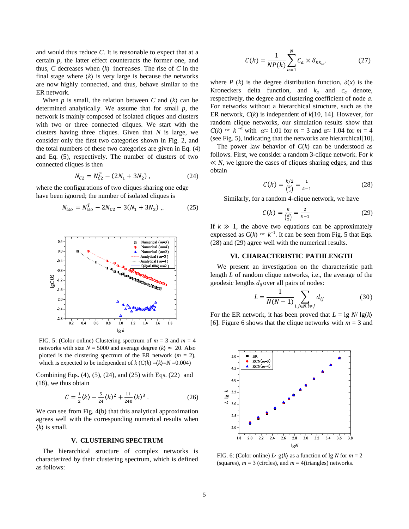and would thus reduce *C*. It is reasonable to expect that at a certain *p*, the latter effect counteracts the former one, and thus, *C* decreases when ⟨*k*⟩ increases. The rise of *C* in the final stage where  $\langle k \rangle$  is very large is because the networks are now highly connected, and thus, behave similar to the ER network.

When  $p$  is small, the relation between  $C$  and  $\langle k \rangle$  can be determined analytically. We assume that for small *p*, the network is mainly composed of isolated cliques and clusters with two or three connected cliques. We start with the clusters having three cliques. Given that *N* is large, we consider only the first two categories shown in Fig. 2, and the total numbers of these two categories are given in Eq. (4) and Eq. (5), respectively. The number of clusters of two connected cliques is then

$$
N_{C2} = N_{C2}^T - (2N_1 + 3N_2) , \qquad (24)
$$

where the configurations of two cliques sharing one edge have been ignored; the number of isolated cliques is

$$
N_{iso} = N_{iso}^T - 2N_{C2} - 3(N_1 + 3N_2) \tag{25}
$$



FIG. 5: (Color online) Clustering spectrum of  $m = 3$  and  $m = 4$ networks with size  $N = 5000$  and average degree  $\langle k \rangle \approx 20$ . Also plotted is the clustering spectrum of the ER network  $(m = 2)$ , which is expected to be independent of  $k$  ( $C(k) = \frac{k}{=N} = 0.004$ )

Combining Eqs. (4), (5), (24), and (25) with Eqs. (22) and (18), we thus obtain

$$
C = \frac{1}{2} \langle k \rangle - \frac{5}{24} \langle k \rangle^2 + \frac{11}{240} \langle k \rangle^3 \,. \tag{26}
$$

We can see from Fig. 4(b) that this analytical approximation agrees well with the corresponding numerical results when ⟨*k*⟩ is small.

#### **V. CLUSTERING SPECTRUM**

The hierarchical structure of complex networks is characterized by their clustering spectrum, which is defined as follows:

$$
C(k) = \frac{1}{NP(k)} \sum_{a=1}^{N} C_a \times \delta_{kk_a},
$$
 (27)

where *P* (*k*) is the degree distribution function,  $\delta(x)$  is the Kroneckers delta function, and  $k_a$  and  $c_a$  denote, respectively, the degree and clustering coefficient of node *a*. For networks without a hierarchical structure, such as the ER network, *C*(*k*) is independent of *k*[10, 14]. However, for random clique networks, our simulation results show that  $C(k) \propto k^{-\alpha}$  with  $\alpha \approx 1.01$  for  $m = 3$  and  $\alpha \approx 1.04$  for  $m = 4$ (see Fig. 5), indicating that the networks are hierarchical[10].

The power law behavior of  $C(k)$  can be understood as follows. First, we consider a random 3-clique network. For *k* ≪ *N*, we ignore the cases of cliques sharing edges, and thus obtain

$$
C(k) = \frac{k/2}{\binom{k}{2}} = \frac{1}{k-1}
$$
 (28)

Similarly, for a random 4-clique network, we have

$$
C(k) = \frac{k}{\binom{k}{2}} = \frac{2}{k-1}
$$
 (29)

If  $k \gg 1$ , the above two equations can be approximately expressed as  $C(k) \propto k^{-1}$ . It can be seen from Fig. 5 that Eqs. (28) and (29) agree well with the numerical results.

### **VI. CHARACTERISTIC PATHLENGTH**

We present an investigation on the characteristic path length *L* of random clique networks, i.e., the average of the geodesic lengths *dij* over all pairs of nodes:

$$
L = \frac{1}{N(N-1)} \sum_{i,j \in N, i \neq j} d_{ij}
$$
 (30)

For the ER network, it has been proved that  $L = \lg N / \lg(k)$ [6]. Figure 6 shows that the clique networks with  $m = 3$  and



FIG. 6: (Color online)  $L \cdot g(k)$  as a function of lg *N* for  $m = 2$ (squares),  $m = 3$  (circles), and  $m = 4$  (triangles) networks.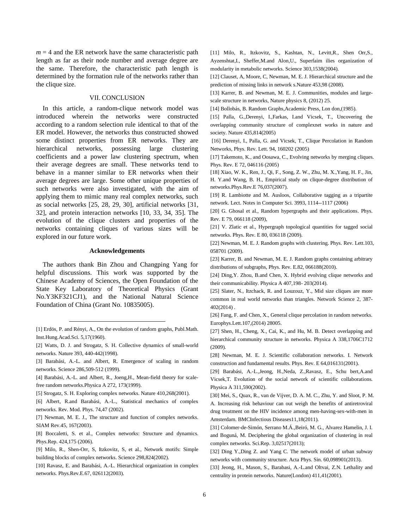$m = 4$  and the ER network have the same characteristic path length as far as their node number and average degree are the same. Therefore, the characteristic path length is determined by the formation rule of the networks rather than the clique size.

## VII. CONCLUSION

In this article, a random-clique network model was introduced wherein the networks were constructed according to a random selection rule identical to that of the ER model. However, the networks thus constructed showed some distinct properties from ER networks. They are hierarchical networks, possessing large clustering coefficients and a power law clustering spectrum, when their average degrees are small. These networks tend to behave in a manner similar to ER networks when their average degrees are large. Some other unique properties of such networks were also investigated, with the aim of applying them to mimic many real complex networks, such as social networks [25, 28, 29, 30], artificial networks [31, 32], and protein interaction networks [10, 33, 34, 35]. The evolution of the clique clusters and properties of the networks containing cliques of various sizes will be explored in our future work.

#### **Acknowledgements**

The authors thank Bin Zhou and Changping Yang for helpful discussions. This work was supported by the Chinese Academy of Sciences, the Open Foundation of the State Key Laboratory of Theoretical Physics (Grant No.Y3KF321CJ1), and the National Natural Science Foundation of China (Grant No. 10835005).

l

- [9] Milo, R., Shen-Orr, S, Itzkovitz, S, et al., Network motifs: Simple building blocks of complex networks. Science 298,824(2002).
- [10] Ravasz, E. and Barabási, A.-L. Hierarchical organization in complex networks. Phys.Rev.E.67, 026112(2003).

[11] Milo, R., Itzkovitz, S., Kashtan, N., Levitt,R., Shen Orr,S., Ayzenshtat,I., Sheffer,M.and Alon,U., Superfaim ilies organization of modularity in metabolic networks. Science 303,1538(2004).

[12] Clauset, A, Moore, C, Newman, M. E. J. Hierarchical structure and the prediction of missing links in network s.Nature 453,98 (2008).

[13] Karrer, B. and Newman, M. E. J. Communities, modules and largescale structure in networks, Nature physics 8, (2012) 25.

[14] Bollobás, B. Random Graphs,Academic Press, Lon don,(1985).

[15] Palla, G.,Derenyi, I.,Farkas, I.and Vicsek, T., Uncovering the overlapping community structure of complexnet works in nature and society. Nature 435,814(2005)

[16] Derenyi, I., Palla, G. and Vicsek, T., Clique Percolation in Random Networks, Phys. Rev. Lett. 94, 160202 (2005)

[17] Takemoto, K., and Oosawa, C., Evolving networks by merging cliques. Phys. Rev. E 72, 046116 (2005)

[18] Xiao, W. K., Ren, J., Qi, F., Song, Z. W., Zhu, M. X.,Yang, H. F., Jin, H. Y.and Wang, B. H., Empirical study on clique-degree distribution of networks.Phys.Rev.E 76,037(2007).

[19] R. Lambiotte and M. Ausloos, Collaborative tagging as a tripartite network. Lect. Notes in Computer Sci. 3993, 1114--1117 (2006)

[20] G. Ghosal et al., Random hypergraphs and their applications. Phys. Rev. E 79, 066118 (2009),

[21] V. Zlatic et al., Hypergraph topological quantities for tagged social networks. Phys. Rev. E 80, 036118 (2009).

[22] Newman, M. E. J. Random graphs with clustering. Phys. Rev. Lett.103, 058701 (2009).

[23] Karrer, B. and Newman, M. E. J. Random graphs containing arbitrary distributions of subgraphs, Phys. Rev. E.82, 066188(2010).

[24] Ding, Y. Zhou, B.and Chen, X. Hybrid evolving clique networks and their communicability. Physica A 407,198- 203(2014).

[25] Slater, N., Itzchack, R. and Louzouz, Y., Mid size cliques are more common in real world networks than triangles. Network Science 2, 387- 402(2014) .

[26] Fang, F. and Chen, X., General clique percolation in random networks. Europhys.Lett.107,(2014) 28005.

[27] Shen, H., Cheng, X., Cai, K., and Hu, M. B. Detect overlapping and hierarchical community structure in networks. Physica A 338,1706C1712 (2009).

[28] Newman, M. E. J. Scientific collaboration networks. I. Network construction and fundamental results. Phys. Rev. E 64,016131(2001).

[29] Barabási, A.-L.,Jeong, H.,Neda, Z.,Ravasz, E., Schu bert,A.and Vicsek,T. Evolution of the social network of scientific collaborations. Physica A 311,590(2002).

[30] Mei, S., Quax, R., van de Vijver, D. A. M. C., Zhu, Y. and Sloot, P. M. A. Increasing risk behaviour can out weigh the benefits of antiretroviral drug treatment on the HIV incidence among men-having-sex-with-men in Amsterdam. BMCInfectious Diseases11,18(2011).

[31] Colomer-de-Simón, Serrano M.Á.,Beiró, M. G., Alvarez Hamelin, J. I. and Boguná, M. Deciphering the global organization of clustering in real complex networks. Sci.Rep. 3,02517(2013);

<sup>[1]</sup> Erdös, P. and Rényi, A., On the evolution of random graphs, Publ.Math. Inst.Hung.Acad.Sci. 5,17(1960).

<sup>[2]</sup> Watts, D. J. and Strogatz, S. H. Collective dynamics of small-world networks. Nature 393, 440-442(1998).

<sup>[3]</sup> Barabási, A.-L. and Albert, R. Emergence of scaling in random networks. Science 286,509-512 (1999).

<sup>[4]</sup> Barabási, A.-L. and Albert, R., Joeng, H., Mean-field theory for scalefree random networks.Physica A 272, 173(1999).

<sup>[5]</sup> Strogatz, S. H. Exploring complex networks. Nature 410,268(2001).

<sup>[6]</sup> Albert, R.and Barabási, A.-L., Statistical mechanics of complex networks. Rev. Mod. Phys. 74,47 (2002).

<sup>[7]</sup> Newman, M. E. J., The structure and function of complex networks. SIAM Rev.45, 167(2003).

<sup>[8]</sup> Boccaletti, S. et al., Complex networks: Structure and dynamics. Phys.Rep. 424,175 (2006).

<sup>[32]</sup> Ding Y.,Ding Z. and Yang C. The network model of urban subway networks with community structure. Acta Phys. Sin. 60,098901(2013).

<sup>[33]</sup> Jeong, H., Mason, S., Barabasi, A.-L.and Oltvai, Z.N. Lethality and centrality in protein networks. Nature(London) 411,41(2001).